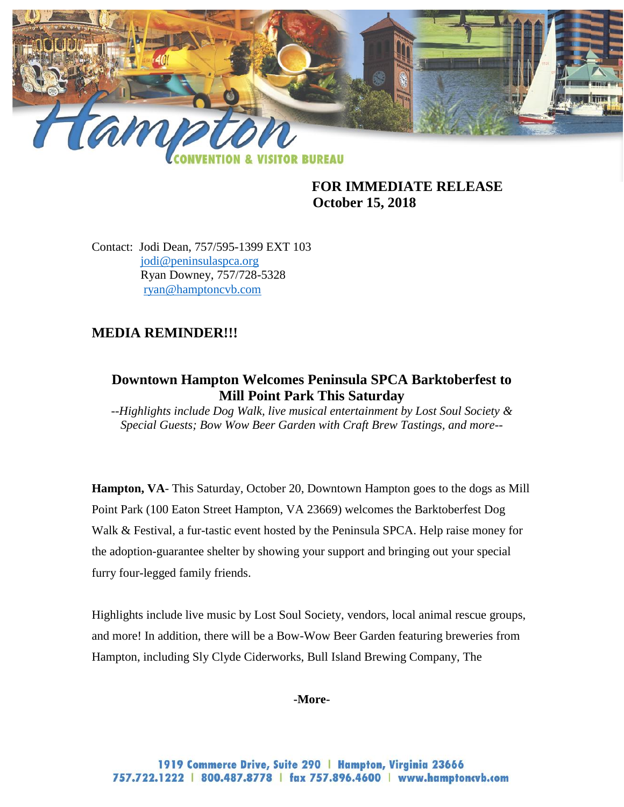

**FOR IMMEDIATE RELEASE October 15, 2018**

Contact: Jodi Dean, 757/595-1399 EXT 103 [jodi@peninsulaspca.org](mailto:jodi@peninsulaspca.org) Ryan Downey, 757/728-5328 [ryan@hamptoncvb.com](mailto:ryan@hamptoncvb.com)

# **MEDIA REMINDER!!!**

# **Downtown Hampton Welcomes Peninsula SPCA Barktoberfest to Mill Point Park This Saturday**

*--Highlights include Dog Walk, live musical entertainment by Lost Soul Society & Special Guests; Bow Wow Beer Garden with Craft Brew Tastings, and more--*

**Hampton, VA**- This Saturday, October 20, Downtown Hampton goes to the dogs as Mill Point Park (100 Eaton Street Hampton, VA 23669) welcomes the Barktoberfest Dog Walk & Festival, a fur-tastic event hosted by the Peninsula SPCA. Help raise money for the adoption-guarantee shelter by showing your support and bringing out your special furry four-legged family friends.

Highlights include live music by Lost Soul Society, vendors, local animal rescue groups, and more! In addition, there will be a Bow-Wow Beer Garden featuring breweries from Hampton, including Sly Clyde Ciderworks, Bull Island Brewing Company, The

#### **-More-**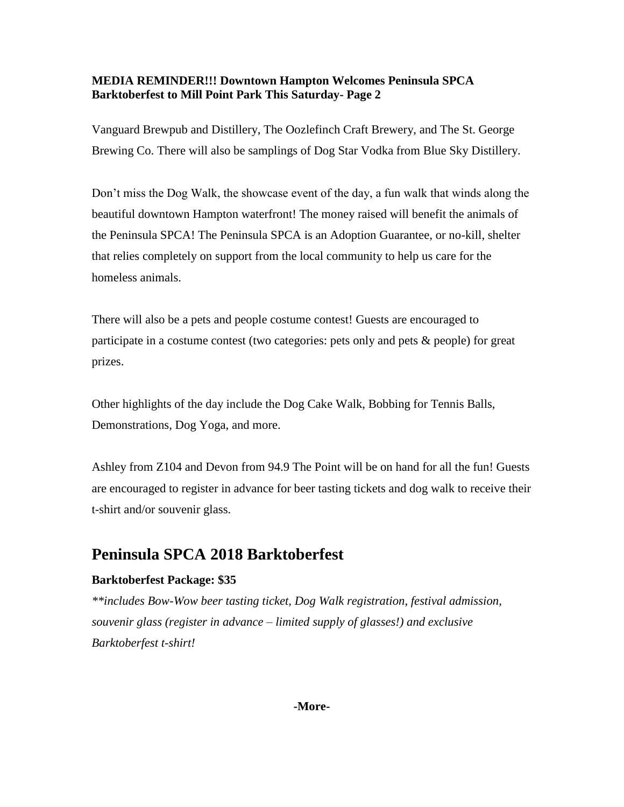#### **MEDIA REMINDER!!! Downtown Hampton Welcomes Peninsula SPCA Barktoberfest to Mill Point Park This Saturday- Page 2**

Vanguard Brewpub and Distillery, The Oozlefinch Craft Brewery, and The St. George Brewing Co. There will also be samplings of Dog Star Vodka from Blue Sky Distillery.

Don't miss the Dog Walk, the showcase event of the day, a fun walk that winds along the beautiful downtown Hampton waterfront! The money raised will benefit the animals of the Peninsula SPCA! The Peninsula SPCA is an Adoption Guarantee, or no-kill, shelter that relies completely on support from the local community to help us care for the homeless animals.

There will also be a pets and people costume contest! Guests are encouraged to participate in a costume contest (two categories: pets only and pets & people) for great prizes.

Other highlights of the day include the Dog Cake Walk, Bobbing for Tennis Balls, Demonstrations, Dog Yoga, and more.

Ashley from Z104 and Devon from 94.9 The Point will be on hand for all the fun! Guests are encouraged to register in advance for beer tasting tickets and dog walk to receive their t-shirt and/or souvenir glass.

# **Peninsula SPCA 2018 Barktoberfest**

#### **Barktoberfest Package: \$35**

*\*\*includes Bow-Wow beer tasting ticket, Dog Walk registration, festival admission, souvenir glass (register in advance – limited supply of glasses!) and exclusive Barktoberfest t-shirt!*

#### **-More-**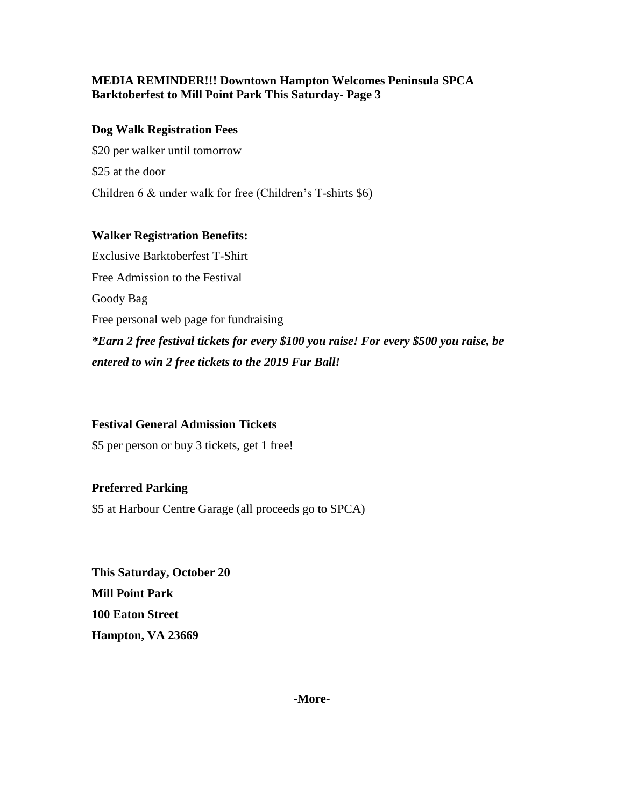#### **MEDIA REMINDER!!! Downtown Hampton Welcomes Peninsula SPCA Barktoberfest to Mill Point Park This Saturday- Page 3**

#### **Dog Walk Registration Fees**

\$20 per walker until tomorrow \$25 at the door Children 6 & under walk for free (Children's T-shirts \$6)

### **Walker Registration Benefits:**

Exclusive Barktoberfest T-Shirt Free Admission to the Festival Goody Bag Free personal web page for fundraising *\*Earn 2 free festival tickets for every \$100 you raise! For every \$500 you raise, be entered to win 2 free tickets to the 2019 Fur Ball!*

#### **Festival General Admission Tickets**

\$5 per person or buy 3 tickets, get 1 free!

# **Preferred Parking**

\$5 at Harbour Centre Garage (all proceeds go to SPCA)

**This Saturday, October 20 Mill Point Park 100 Eaton Street Hampton, VA 23669**

**-More-**